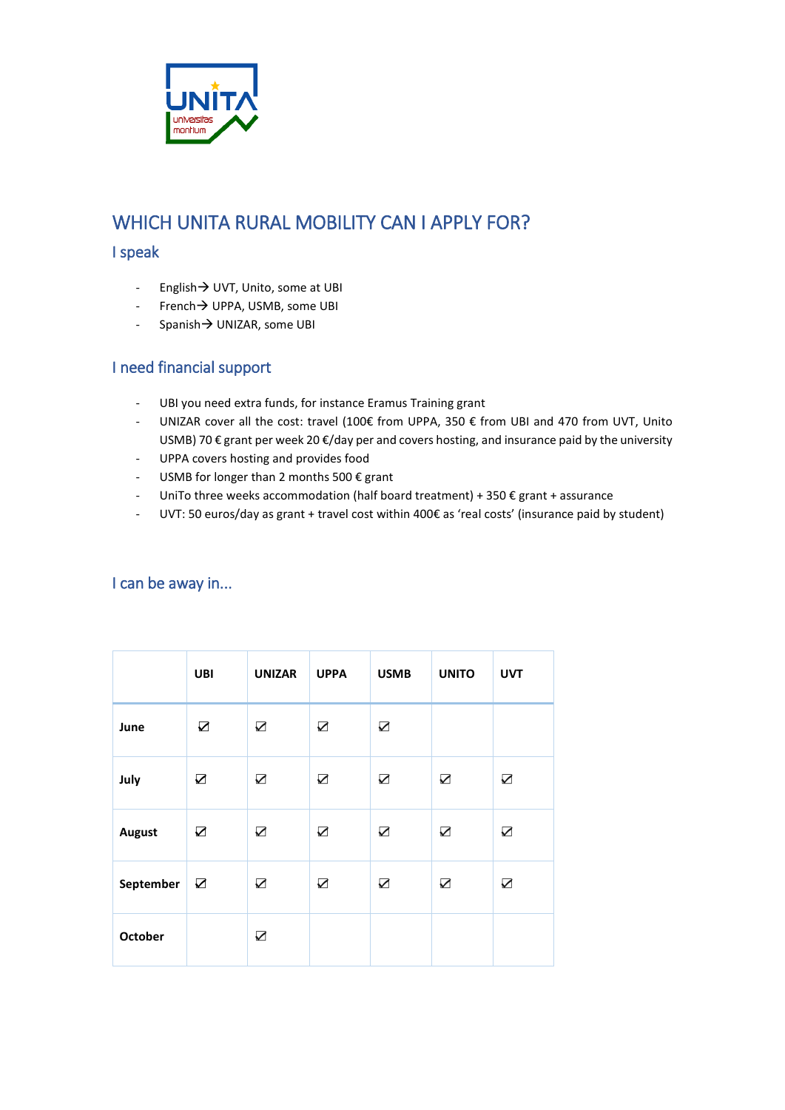

## WHICH UNITA RURAL MOBILITY CAN I APPLY FOR?

#### I speak

- English  $\rightarrow$  UVT, Unito, some at UBI
- French  $\rightarrow$  UPPA, USMB, some UBI
- Spanish $\rightarrow$  UNIZAR, some UBI

### I need financial support

- UBI you need extra funds, for instance Eramus Training grant
- UNIZAR cover all the cost: travel (100€ from UPPA, 350 € from UBI and 470 from UVT, Unito USMB) 70 € grant per week 20 €/day per and covers hosting, and insurance paid by the university
- UPPA covers hosting and provides food
- USMB for longer than 2 months 500 € grant
- UniTo three weeks accommodation (half board treatment) + 350 € grant + assurance
- UVT: 50 euros/day as grant + travel cost within 400€ as 'real costs' (insurance paid by student)

|                | <b>UBI</b>            | <b>UNIZAR</b> | <b>UPPA</b> | <b>USMB</b> | <b>UNITO</b> | <b>UVT</b> |
|----------------|-----------------------|---------------|-------------|-------------|--------------|------------|
| June           | $\boldsymbol{\nabla}$ | $\sum$        | $\sum$      | $\sum$      |              |            |
| July           | $\sum$                | $\sum$        | $\sum$      | $\sum$      | $\sum$       | $\sum$     |
| <b>August</b>  | $\sum$                | $\sum$        | $\sum$      | $\sum$      | $\sum$       | $\sum$     |
| September      | $\sum$                | $\sum$        | $\sum$      | $\sum$      | $\sum$       | ☑          |
| <b>October</b> |                       | $\sum$        |             |             |              |            |

### I can be away in...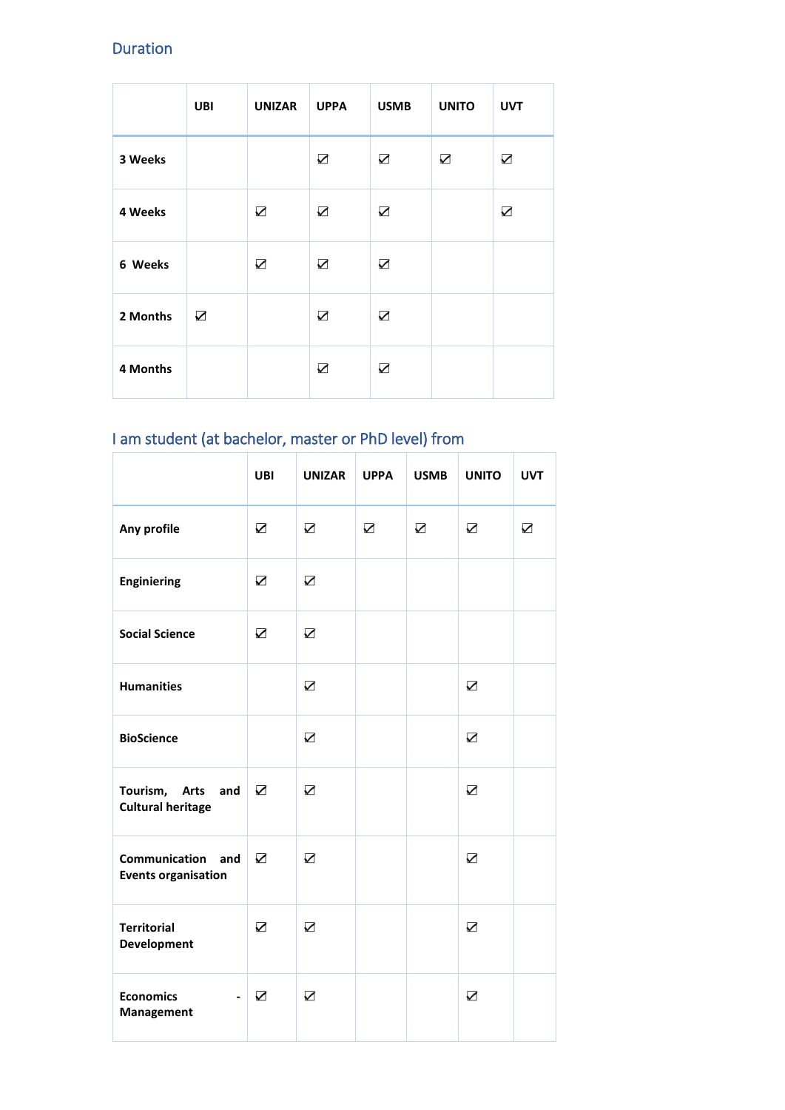### Duration

|          | UBI    | <b>UNIZAR</b> | <b>UPPA</b> | <b>USMB</b> | <b>UNITO</b> | <b>UVT</b> |
|----------|--------|---------------|-------------|-------------|--------------|------------|
| 3 Weeks  |        |               | $\sum$      | $\sum$      | $\sum$       | $\sum$     |
| 4 Weeks  |        | $\sum$        | $\sum$      | $\sum$      |              | $\sum$     |
| 6 Weeks  |        | ☑             | ☑           | $\sum$      |              |            |
| 2 Months | $\sum$ |               | $\sum$      | $\sum$      |              |            |
| 4 Months |        |               | ☑           | ☑           |              |            |

# I am student (at bachelor, master or PhD level) from

|                                                 | <b>UBI</b>              | <b>UNIZAR</b>   | <b>UPPA</b> | <b>USMB</b> | <b>UNITO</b>            | <b>UVT</b> |
|-------------------------------------------------|-------------------------|-----------------|-------------|-------------|-------------------------|------------|
| Any profile                                     | $\sum$                  | $\sum$          | $\sum$      | ☑           | $\sum$                  | $\sum$     |
| <b>Enginiering</b>                              | ☑                       | ☑               |             |             |                         |            |
| <b>Social Science</b>                           | $\triangledown$         | $\triangledown$ |             |             |                         |            |
| <b>Humanities</b>                               |                         | $\sum$          |             |             | $\sum$                  |            |
| <b>BioScience</b>                               |                         | $\sum$          |             |             | $\sum$                  |            |
| Tourism, Arts and<br><b>Cultural heritage</b>   | $\triangledown$         | $\triangledown$ |             |             | ☑                       |            |
| Communication and<br><b>Events organisation</b> | $\overline{\mathbf{z}}$ | $\triangledown$ |             |             | $\overline{\mathbf{z}}$ |            |
| <b>Territorial</b><br>Development               | $\triangledown$         | $\triangledown$ |             |             | ☑                       |            |
| <b>Economics</b><br>Management                  | $\triangledown$         | $\triangledown$ |             |             | ☑                       |            |